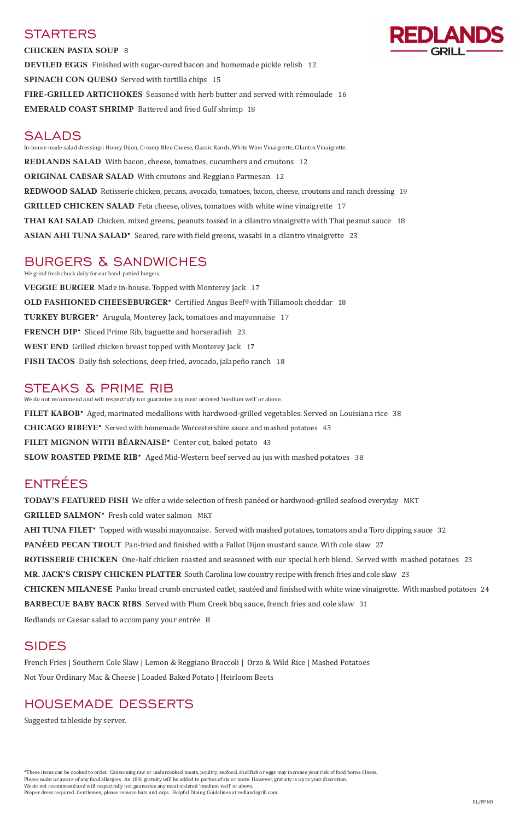### **STARTERS**



**CHICKEN PASTA SOUP** 8 **DEVILED EGGS** Finished with sugar-cured bacon and homemade pickle relish 12 **SPINACH CON QUESO** Served with tortilla chips 15 **FIRE-GRILLED ARTICHOKES** Seasoned with herb butter and served with rémoulade 16 **EMERALD COAST SHRIMP** Battered and fried Gulf shrimp18

### SALADS

In-house made salad dressings: Honey Dijon, Creamy Bleu Cheese, Classic Ranch, White Wine Vinaigrette, Cilantro Vinaigrette. **REDLANDS SALAD** With bacon, cheese, tomatoes, cucumbers and croutons 12 **ORIGINAL CAESAR SALAD** With croutons and Reggiano Parmesan 12 **REDWOOD SALAD** Rotisserie chicken, pecans, avocado, tomatoes, bacon, cheese, croutons and ranch dressing 19 **GRILLED CHICKEN SALAD** Feta cheese, olives, tomatoes with white wine vinaigrette 17 **THAI KAI SALAD** Chicken, mixed greens, peanuts tossed in a cilantro vinaigrette with Thai peanut sauce 18 **ASIAN AHI TUNA SALAD\*** Seared, rare with field greens, wasabi in a cilantro vinaigrette 23

## BURGERS & SANDWICHES

We grind fresh chuck daily for our hand-pattied burgers. **VEGGIE BURGER** Made in-house. Topped with Monterey Jack 17 **OLD FASHIONED CHEESEBURGER\*** Certified Angus Beef® with Tillamook cheddar 18 **TURKEY BURGER\*** Arugula, Monterey Jack, tomatoes and mayonnaise 17 **FRENCH DIP\*** Sliced Prime Rib, baguette and horseradish 23 **WEST END** Grilled chicken breast topped with Monterey Jack 17 **FISH TACOS** Daily fish selections, deep fried, avocado, jalapeño ranch 18

### STEAKS & PRIME RIB

We do not recommend and will respectfully not guarantee any meat ordered 'medium well' or above. **FILET KABOB\*** Aged, marinated medallions with hardwood-grilled vegetables. Served on Louisiana rice 38 **CHICAGO RIBEYE\*** Served with homemade Worcestershire sauce and mashed potatoes 43 **FILET MIGNON WITH BÉARNAISE\*** Center cut, baked potato 43 **SLOW ROASTED PRIME RIB\*** Aged Mid-Western beef served au jus with mashed potatoes 38

# ENTRÉES

**TODAY'S FEATURED FISH** We offer a wide selection of fresh panéed or hardwood-grilled seafood everyday MKT **GRILLED SALMON\*** Fresh cold water salmon MKT **AHI TUNA FILET\*** Topped with wasabi mayonnaise. Served with mashed potatoes, tomatoes and a Toro dipping sauce 32 **PANÉED PECAN TROUT** Pan-fried and finished with a Fallot Dijon mustard sauce. With cole slaw 27 **ROTISSERIE CHICKEN** One-half chicken roasted and seasoned with our special herb blend. Served with mashed potatoes 23 **MR. JACK'S CRISPY CHICKEN PLATTER** South Carolina low country recipe with french fries and cole slaw 23 **CHICKEN MILANESE** Panko bread crumb encrusted cutlet, sautéed and finished with white wine vinaigrette. With mashed potatoes 24

**BARBECUE BABY BACK RIBS** Served with Plum Creek bbq sauce, french fries and cole slaw 31

Redlands or Caesar salad to accompany your entrée 8

### SIDES

French Fries | Southern Cole Slaw | Lemon & Reggiano Broccoli | Orzo & Wild Rice | Mashed Potatoes Not Your Ordinary Mac & Cheese | Loaded Baked Potato | Heirloom Beets

### HOUSEMADE DESSERTS

Suggested tableside by server.

\*These items can be cooked to order. Consuming raw or undercooked meats, poultry, seafood, shellfish or eggs may increase your risk of food borne illness. Please make us aware of any food allergies. An 18% gratuity will be added to parties of six or more. However, gratuity is up to your discretion. We do not recommend and will respectfully not guarantee any meat ordered 'medium well' or above. Proper dress required. Gentlemen, please remove hats and caps. Helpful Dining Guidelines at redlandsgrill.com.